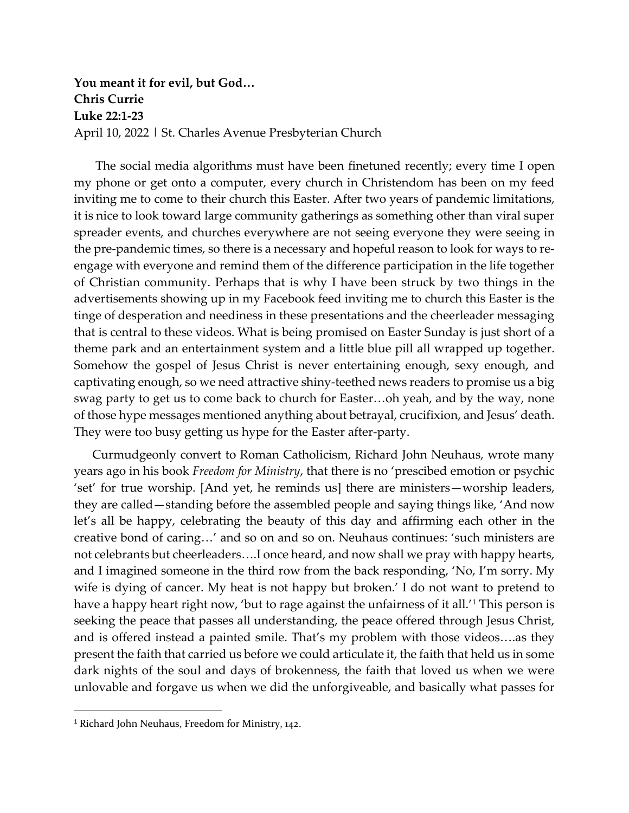**You meant it for evil, but God… Chris Currie Luke 22:1-23** April 10, 2022 | St. Charles Avenue Presbyterian Church

The social media algorithms must have been finetuned recently; every time I open my phone or get onto a computer, every church in Christendom has been on my feed inviting me to come to their church this Easter. After two years of pandemic limitations, it is nice to look toward large community gatherings as something other than viral super spreader events, and churches everywhere are not seeing everyone they were seeing in the pre-pandemic times, so there is a necessary and hopeful reason to look for ways to reengage with everyone and remind them of the difference participation in the life together of Christian community. Perhaps that is why I have been struck by two things in the advertisements showing up in my Facebook feed inviting me to church this Easter is the tinge of desperation and neediness in these presentations and the cheerleader messaging that is central to these videos. What is being promised on Easter Sunday is just short of a theme park and an entertainment system and a little blue pill all wrapped up together. Somehow the gospel of Jesus Christ is never entertaining enough, sexy enough, and captivating enough, so we need attractive shiny-teethed news readers to promise us a big swag party to get us to come back to church for Easter…oh yeah, and by the way, none of those hype messages mentioned anything about betrayal, crucifixion, and Jesus' death. They were too busy getting us hype for the Easter after-party.

Curmudgeonly convert to Roman Catholicism, Richard John Neuhaus, wrote many years ago in his book *Freedom for Ministry*, that there is no 'prescibed emotion or psychic 'set' for true worship. [And yet, he reminds us] there are ministers—worship leaders, they are called—standing before the assembled people and saying things like, 'And now let's all be happy, celebrating the beauty of this day and affirming each other in the creative bond of caring…' and so on and so on. Neuhaus continues: 'such ministers are not celebrants but cheerleaders….I once heard, and now shall we pray with happy hearts, and I imagined someone in the third row from the back responding, 'No, I'm sorry. My wife is dying of cancer. My heat is not happy but broken.' I do not want to pretend to have a happy heart right now, 'but to rage against the unfairness of it all.'<sup>[1](#page-0-0)</sup> This person is seeking the peace that passes all understanding, the peace offered through Jesus Christ, and is offered instead a painted smile. That's my problem with those videos….as they present the faith that carried us before we could articulate it, the faith that held us in some dark nights of the soul and days of brokenness, the faith that loved us when we were unlovable and forgave us when we did the unforgiveable, and basically what passes for

<span id="page-0-0"></span><sup>&</sup>lt;sup>1</sup> Richard John Neuhaus, Freedom for Ministry, 142.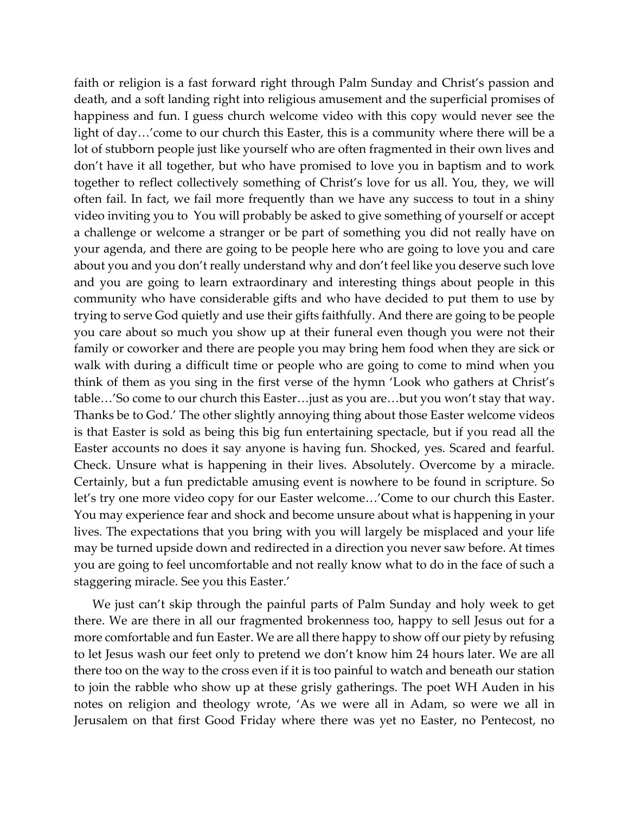faith or religion is a fast forward right through Palm Sunday and Christ's passion and death, and a soft landing right into religious amusement and the superficial promises of happiness and fun. I guess church welcome video with this copy would never see the light of day…'come to our church this Easter, this is a community where there will be a lot of stubborn people just like yourself who are often fragmented in their own lives and don't have it all together, but who have promised to love you in baptism and to work together to reflect collectively something of Christ's love for us all. You, they, we will often fail. In fact, we fail more frequently than we have any success to tout in a shiny video inviting you to You will probably be asked to give something of yourself or accept a challenge or welcome a stranger or be part of something you did not really have on your agenda, and there are going to be people here who are going to love you and care about you and you don't really understand why and don't feel like you deserve such love and you are going to learn extraordinary and interesting things about people in this community who have considerable gifts and who have decided to put them to use by trying to serve God quietly and use their gifts faithfully. And there are going to be people you care about so much you show up at their funeral even though you were not their family or coworker and there are people you may bring hem food when they are sick or walk with during a difficult time or people who are going to come to mind when you think of them as you sing in the first verse of the hymn 'Look who gathers at Christ's table…'So come to our church this Easter…just as you are…but you won't stay that way. Thanks be to God.' The other slightly annoying thing about those Easter welcome videos is that Easter is sold as being this big fun entertaining spectacle, but if you read all the Easter accounts no does it say anyone is having fun. Shocked, yes. Scared and fearful. Check. Unsure what is happening in their lives. Absolutely. Overcome by a miracle. Certainly, but a fun predictable amusing event is nowhere to be found in scripture. So let's try one more video copy for our Easter welcome…'Come to our church this Easter. You may experience fear and shock and become unsure about what is happening in your lives. The expectations that you bring with you will largely be misplaced and your life may be turned upside down and redirected in a direction you never saw before. At times you are going to feel uncomfortable and not really know what to do in the face of such a staggering miracle. See you this Easter.'

We just can't skip through the painful parts of Palm Sunday and holy week to get there. We are there in all our fragmented brokenness too, happy to sell Jesus out for a more comfortable and fun Easter. We are all there happy to show off our piety by refusing to let Jesus wash our feet only to pretend we don't know him 24 hours later. We are all there too on the way to the cross even if it is too painful to watch and beneath our station to join the rabble who show up at these grisly gatherings. The poet WH Auden in his notes on religion and theology wrote, 'As we were all in Adam, so were we all in Jerusalem on that first Good Friday where there was yet no Easter, no Pentecost, no